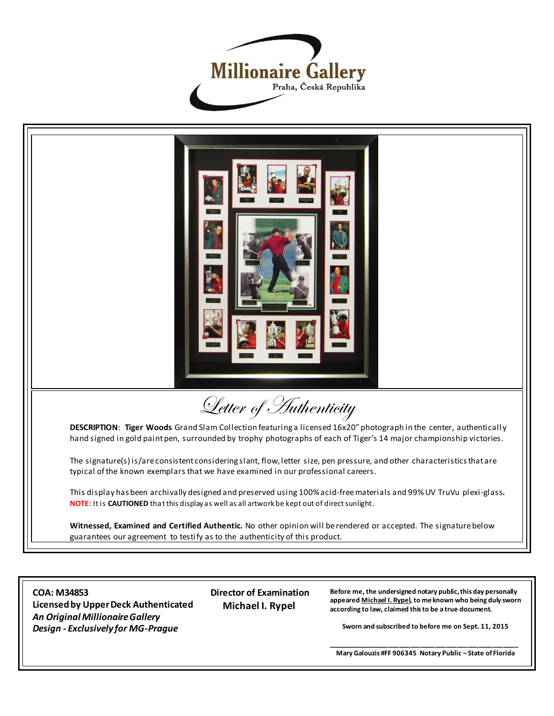



guarantees our agreement to testify as to the authenticity of this product.

**COA: M34853 Licensed by Upper Deck Authenticated** *An Original Millionaire Gallery Design - Exclusively for MG-Prague*

 **Director of Examination Michael I. Rypel**

**Before me, the undersigned notary public, this day personally appeared Michael I. Rypel, to me known who being duly sworn according to law, claimed this to be a true document.**

**Sworn and subscribed to before me on Sept. 11, 2015**

**\_\_\_\_\_\_\_\_\_\_\_\_\_\_\_\_\_\_\_\_\_\_\_\_\_\_\_\_\_\_\_\_\_\_\_\_\_\_\_\_\_\_\_\_\_\_\_\_\_\_\_\_\_ Mary Galouzis #FF 906345 Notary Public – State of Florida**